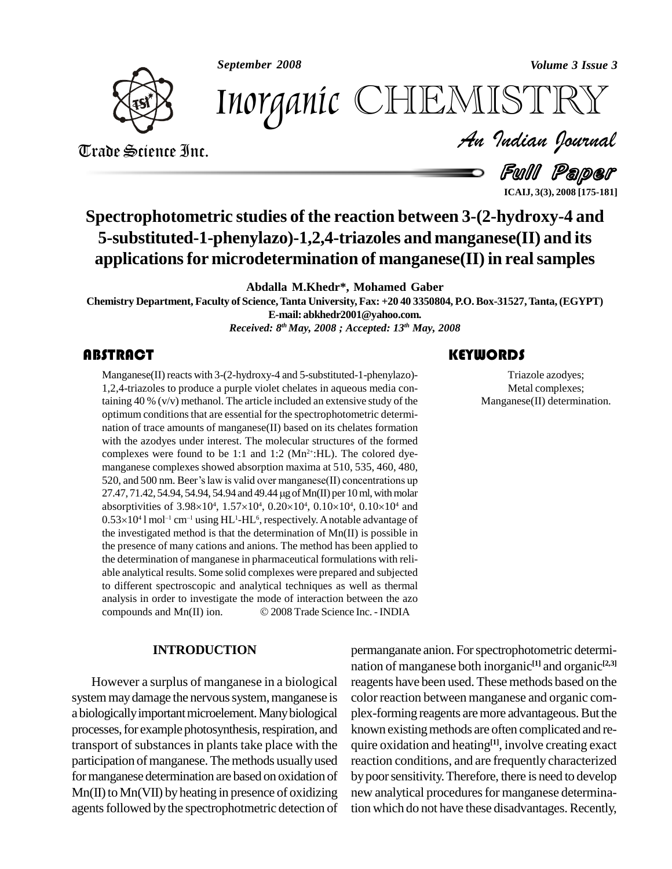*September 2008 Volume 3 Issue 3*



*Volume 3 Issue 3*<br>ISTRY<br>Indian Iournal Inorganic CHEMISTRY

Trade Science Inc. Trade Science Inc.

Full Paper

**ICAIJ, 3(3), 2008 [175-181]**

### **Spectrophotometric studies of the reaction between 3-(2-hydroxy-4 and 5-substituted-1-phenylazo)-1,2,4-triazoles and manganese(II) and its applicationsfor microdetermination of manganese(II) in realsamples**

**Abdalla M.Khedr\*, Mohamed Gaber**

**Chemistry Department, Faculty of Science,Tanta University, Fax: +20 40 3350804, P.O.Box-31527,Tanta,(EGYPT) E-mail: [abkhedr2001@yahoo.com.](mailto:abkhedr2001@yahoo.com.)**

*Received: 8 th May, 2008 ; Accepted: 13 th May, 2008*

Manganese(II) reacts with<br>1,2,4-triazoles to produce<br>taining 40 % ( $v/v$ ) methan Manganese(II) reacts with 3-(2-hydroxy-4 and 5-substituted-1-phenylazo)- 1,2,4-triazoles to produce a purple violet chelates in aqueous media containing 40 % (v/v) methanol. The article included an extensive study of the optimum conditions that are essential for the spectrophotometric determination of trace amounts of manganese(II) based on its chelates formation with the azodyes under interest. The molecular structures of the formed complexes were found to be 1:1 and 1:2 ( $Mn^{2+}$ :HL). The colored dyemanganese complexes showed absorption maxima at 510, 535, 460, 480, complexes were found to be 1:1 and 1:2 ( $Mn^{2+}$ :HL). The colored dye-<br>manganese complexes showed absorption maxima at 510, 535, 460, 480,<br>520, and 500 nm. Beer's law is valid over manganese(II) concentrations up manganese complexes showed absorption maxima at 510, 535, 460, 480,<br>520, and 500 nm. Beer's law is valid over manganese(II) concentrations up<br>27.47, 71.42, 54.94, 54.94, 54.94 and 49.44 µg of Mn(II) per 10 ml, with molar 520, and 500 nm. Beer's law is valid over manganese(II) concentrations up<br>27.47, 71.42, 54.94, 54.94, 54.94 and 49.44 µg of Mn(II) per 10 ml, with molar<br>absorptivities of  $3.98\times10^4$ ,  $1.57\times10^4$ ,  $0.20\times10^4$ ,  $0.10\times1$ ities of 3.98×10<sup>4</sup>, 1.57×10<sup>4</sup>, 0.20×10<sup>4</sup>, 0.10×10<sup>4</sup>, 0.10×10<sup>4</sup> and<br>l mol<sup>-1</sup> cm<sup>-1</sup> using HL<sup>1</sup>-HL<sup>6</sup>, respectively. A notable advantage of 27.47, 71.42, 54.94<br>absorptivities of 3<br>0.53×10<sup>4</sup> l mol<sup>-1</sup> c  $41$  mol<sup>-1</sup> cm<sup>-1</sup> using HL<sup>1</sup>-HL<sup>6</sup>, respectively. A notable advantage of the investigated method is that the determination of Mn(II) is possible in the presence of many cations and anions. The method has been applied to the determination of manganese in pharmaceutical formulations with reli able analytical results. Some solid complexes were prepared and subjected to different spectroscopic and analytical techniques as well as thermal<br>analysis in order to investigate the mode of interaction between the azo<br>compounds and Mn(II) ion.  $\textcircled{2008}$  Trade Science Inc. - INDIA analysis in order to investigate the mode of interaction between the azo

#### **INTRODUCTION**

However a surplus of manganese in a biological system may damage the nervous system, manganese is a biologically important microelement. Many biological processes, for example photosynthesis, respiration, and known existing methods are often complicated and retransport of substances in plants take place with the participation of manganese. The methods usually used formanganese determination are based on oxidation of  $Mn(II)$  to  $Mn(VII)$  by heating in presence of oxidizing agents followed by the spectrophotmetric detection of

#### **KEYWORDS**

Triazole azodyes;<br>
Metal complexes;<br>
Manganese(II) determination. Triazole azodyes; Metal complexes;

permanganate anion. For spectrophotometric determination of manganese both inorganic **[1]** and organic **[2,3]** reagents have been used. These methods based on the color reaction between manganese and organic com plex-forming reagents are more advantageous. But the known existing methods are often complicated and require oxidation and heating<sup>[1]</sup>, involve creating exact reaction conditions, and are frequently characterized by poor sensitivity. Therefore, there is need to develop new analytical procedures for manganese determination which do not have these disadvantages. Recently,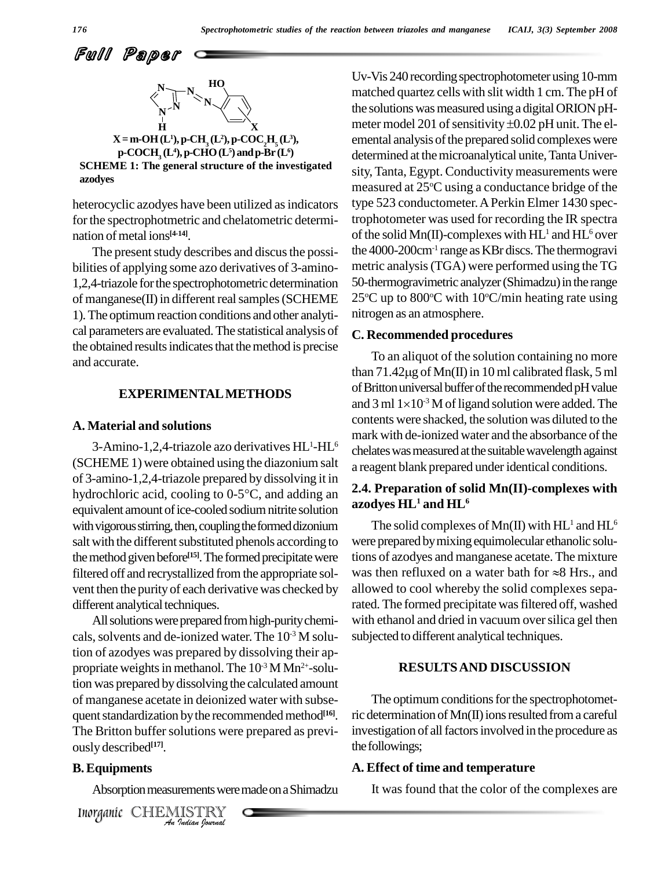Full Paper



**SCHEME 1: The general structure of the investigated azodyes**

heterocyclic azodyes have been utilized as indicators for the spectrophotmetric and chelatometric determination of metal ions<sup>[4-14]</sup>.

The present study describes and discus the possibilities of applying some azo derivatives of 3-amino- 1,2,4-triazole forthe spectrophotometric determination of manganese(II) in different real samples (SCHEME 1). The optimum reaction conditions and other analytical parameters are evaluated.The statistical analysis of the obtained results indicates that the method is precise and accurate.

#### **EXPERIMENTALMETHODS**

#### **A. Material and solutions**

3-Amino-1,2,4-triazole azo derivatives HL (SCHEME 1) were obtained using the diazonium salt a reagen of 3-amino-1,2,4-triazole prepared by dissolving it in hydrochloric acid, cooling to  $0.5^{\circ}$ C, and adding an **2.4. Pre** of 3-amino-1,2,4-triazole prepared by dissolving it in equivalent amount of ice-cooled sodium nitrite solution with vigorous stirring, then, coupling the formed dizonium salt with the different substituted phenols according to the method given before<sup>[15]</sup>. The formed precipitate were tions on vent then the purity of each derivative was checked by different analytical techniques.

The Britton buffer solutions were prepared as previ- inve *Indian*<br> *Indian*<br> **Indiana** *Indian*<br> *Inorganic* CHEMISTRY<br> *An Indian Ionral*<br> *An Indian Ionral* All solutions were prepared from high-purity chemicals, solvents and de-ionized water. The  $10^{-3}$  M solu- subjected tion of azodyes was prepared by dissolving their ap propriate weights in methanol. The  $10^{-3}$  M Mn<sup>2+</sup>-solution was prepared bydissolving the calculated amount of manganese acetate in deionized water with subse quent standardization by the recommended method<sup>[16]</sup>. ric d ously described **[17]**.

#### **B.Equipments**

Absorption measurements were made on a Shimadzu

Uv-Vis 240 recording spectrophotometer using 10-mm matched quartez cells with slit width 1 cm. The pH of the solutions was measured using a digital ORION pHmatched quartez cells with slit width 1 cm. The pH of<br>the solutions was measured using a digital ORION pH-<br>meter model 201 of sensitivity ±0.02 pH unit. The elemental analysis of the prepared solid complexes were determined at the microanalytical unite, Tanta University, Tanta, Egypt. Conductivity measurements were measured at 25°C using a conductance bridge of the type 523 conductometer.APerkin Elmer 1430 spectrophotometer was used for recording the IR spectra of the solid Mn(II)-complexes with  $HL^1$  and  $HL^6$  over the 4000-200cm<sup>-1</sup> range as KBr discs. The thermogravi metric analysis(TGA) were performed using the TG 50-thermogravimetric analyzer (Shimadzu) in the range 25 °C up to 800 °C with 10 °C/min heating rate using nitrogen as an atmosphere.

#### **C. Recommended procedures**

 $1-HL<sup>6</sup>$  chelates was measured at the suitable wavelength against To an aliquot of the solution containing no more **C. Recommended procedures**<br>To an aliquot of the solution containing no more<br>than 71.42 $\mu$ g of Mn(II) in 10 ml calibrated flask, 5 ml of Britton universal buffer of the recommended pH value than 71.42 $\mu$ g of Mn(II) i<br>of Britton universal buffer<br>and 3 ml  $1\times10^{-3}$  M of lig and 3 ml  $1 \times 10^{-3}$  M of ligand solution were added. The contents were shacked, the solution was diluted to the mark with de-ionized water and the absorbance of the a reagent blank prepared underidentical conditions.

#### **2.4. Preparation of solid Mn(II)-complexes with azodyes HL<sup>1</sup> and HL<sup>6</sup>**

filtered off and recrystallized from the appropriate sol- was then refluxed on a water bath for  $\approx 8$  Hrs., and The solid complexes of Mn(II) with  $HL^1$  and  $HL^6$ were prepared by mixing equimolecular ethanolic solutions of azodyes and manganese acetate. The mixture were prepared by mixing equimolecular ethanolic solutions of azodyes and manganese acetate. The mixture was then refluxed on a water bath for  $\approx 8$  Hrs., and allowed to cool whereby the solid complexes separated. The formed precipitate was filtered off, washed with ethanol and dried in vacuum over silica gel then subjected to different analytical techniques.

#### **RESULTSAND DISCUSSION**

The optimum conditions for the spectrophotometric determination of  $Mn(\Pi)$  ions resulted from a careful investigation of all factors involved in the procedure as the followings;

#### **A. Effect of time and temperature**

It was found that the color of the complexes are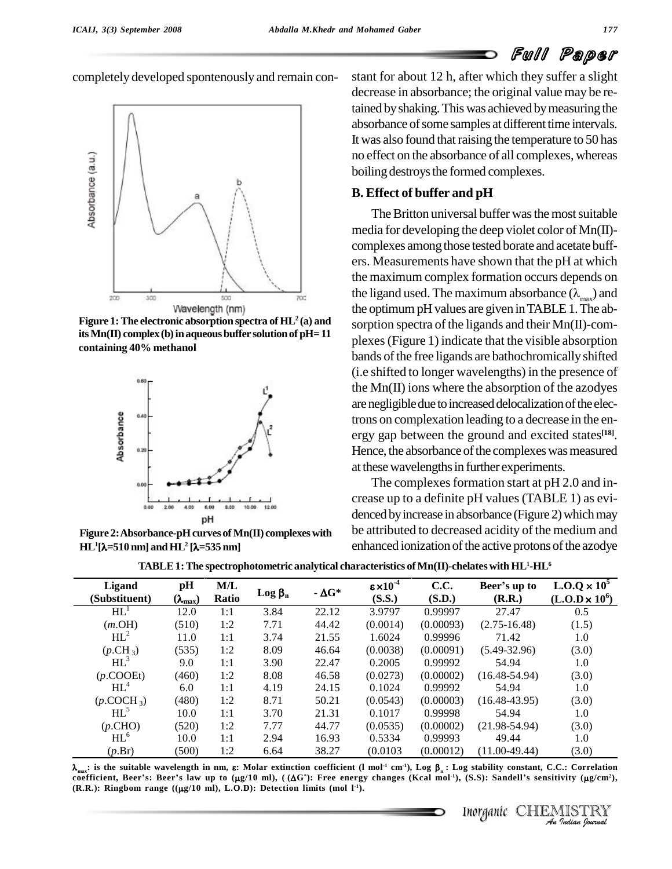## Full Paper



**Figure 1:** The electronic absorption spectra of  $HL^2$  (a) and **itsMn(II) complex(b)inaqueousbuffer solutionof pH=11 containing 40% methanol**



**Figure 2:Absorbance-pHcurves ofMn(II) complexeswith**  $HL^1[\lambda=510$  nm and  $HL^2[\lambda=535$  nm pH<br>ure 2: Absorbance-pH curves of Mn(II<br><sup>1</sup>[λ=510 nm] and HL<sup>2</sup> [λ=535 nm]

completely developed spontenously and remain con-<br>stant for about 12 h, after which they suffer a slight decrease in absorbance; the original value may be retained byshaking.Thiswas achieved bymeasuring the absorbance of some samples at different time intervals. It was also found that raising the temperature to 50 has no effect on the absorbance of all complexes, whereas boiling destroys the formed complexes.

#### **B. Effect of buffer and pH**

The Britton universal buffer was the most suitable media for developing the deep violet color of Mn(II) complexes among those tested borate and acetate buffers. Measurements have shown that the pH at which the maximum complex formation occurs depends on the ligand used. The maximum absorbance  $(\lambda_{\text{max}})$  and the optimum pH values are given in TABLE 1. The absorption spectra of the ligands and their Mn(II)-com plexes(Figure 1) indicate that the visible absorption bands of the free ligands are bathochromically shifted (i.e shifted to longer wavelengths) in the presence of the  $Mn(\Pi)$  ions where the absorption of the azodyes are negligible due to increased delocalization of the electrons on complexation leading to a decrease in the en ergy gap between the ground and excited states **[18]**. Hence, the absorbance of the complexes was measured at these wavelengths in further experiments.

The complexes formation start at pH 2.0 and increase up to a definite pH values (TABLE 1) as evi denced by increase in absorbance (Figure 2) which may be attributed to decreased acidity of the medium and enhanced ionization of the active protons of the azodye

|  | TABLE 1: The spectrophotometric analytical characteristics of Mn(II)-chelates with $\rm HL^1\text{-}HL^6$ |  |
|--|-----------------------------------------------------------------------------------------------------------|--|
|  |                                                                                                           |  |

| $HL$ <sup>1</sup><br>3.84<br>22.12<br>3.9797<br>27.47<br>0.99997<br>12.0<br>1:1<br>(510)<br>(0.0014)<br>(0.00093)<br>(m.OH)<br>1:2<br>7.71<br>44.42<br>$(2.75 - 16.48)$<br>$HL^2$<br>21.55<br>1.6024<br>71.42<br>3.74<br>0.99996<br>11.0<br>1:1<br>$(p.CH_3)$<br>(535)<br>8.09<br>(0.0038)<br>(0.00091)<br>$(5.49 - 32.96)$<br>1:2<br>46.64<br>$HL^3$<br>3.90<br>0.2005<br>0.99992<br>54.94<br>9.0<br>1:1<br>22.47<br>$(p$ .COOEt)<br>(460)<br>8.08<br>(0.00002)<br>$(16.48 - 54.94)$<br>1:2<br>46.58<br>(0.0273)<br>$HL^4$<br>4.19<br>54.94<br>24.15<br>0.1024<br>0.99992<br>6.0<br>1:1 | 0.5<br>(1.5)<br>1.0<br>(3.0) |
|------------------------------------------------------------------------------------------------------------------------------------------------------------------------------------------------------------------------------------------------------------------------------------------------------------------------------------------------------------------------------------------------------------------------------------------------------------------------------------------------------------------------------------------------------------------------------------------|------------------------------|
|                                                                                                                                                                                                                                                                                                                                                                                                                                                                                                                                                                                          |                              |
|                                                                                                                                                                                                                                                                                                                                                                                                                                                                                                                                                                                          |                              |
|                                                                                                                                                                                                                                                                                                                                                                                                                                                                                                                                                                                          |                              |
|                                                                                                                                                                                                                                                                                                                                                                                                                                                                                                                                                                                          |                              |
|                                                                                                                                                                                                                                                                                                                                                                                                                                                                                                                                                                                          | 1.0                          |
|                                                                                                                                                                                                                                                                                                                                                                                                                                                                                                                                                                                          | (3.0)                        |
|                                                                                                                                                                                                                                                                                                                                                                                                                                                                                                                                                                                          | 1.0                          |
| $(p$ .COCH <sub>3</sub> )<br>(480)<br>8.71<br>(0.0543)<br>(0.00003)<br>$(16.48 - 43.95)$<br>1:2<br>50.21                                                                                                                                                                                                                                                                                                                                                                                                                                                                                 | (3.0)                        |
| $HL^5$<br>10.0<br>3.70<br>21.31<br>0.1017<br>0.99998<br>54.94<br>1:1                                                                                                                                                                                                                                                                                                                                                                                                                                                                                                                     | 1.0                          |
| (p.CHO)<br>7.77<br>(0.00002)<br>$(21.98-54.94)$<br>(520)<br>1:2<br>44.77<br>(0.0535)                                                                                                                                                                                                                                                                                                                                                                                                                                                                                                     | (3.0)                        |
| $HL^6$<br>49.44<br>10.0<br>2.94<br>16.93<br>0.5334<br>1:1<br>0.99993                                                                                                                                                                                                                                                                                                                                                                                                                                                                                                                     | 1.0                          |
| $(p.\operatorname{Br})$<br>(500)<br>1:2<br>(0.0103)<br>$(11.00-49.44)$<br>6.64<br>38.27<br>(0.00012)                                                                                                                                                                                                                                                                                                                                                                                                                                                                                     | (3.0)                        |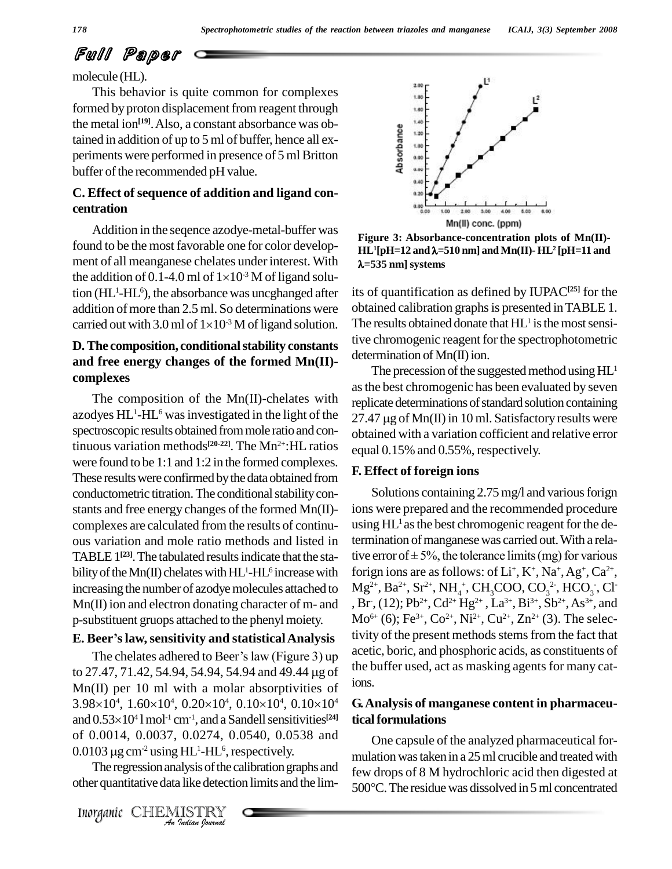# Full Paper

molecule (HL).

This behavior is quite common for complexes formed by proton displacement from reagent through the metal ion **[19]**.Also, a constant absorbance was obtained in addition of up to 5 ml of buffer, hence all ex periments were performed in presence of 5 ml Britton buffer of the recommended pH value.

### **C. Effect of sequence of addition and ligand con centration**

Addition in the seqence azodye-metal-buffer was found to be the most favorable one for color develop-<br>ment of all meanganese chelates under interest. With<br>the addition of 0.1-4.0 ml of  $1\times10^{-3}$  M of ligand solument of all meanganese chelates underinterest. With the addition of 0.1-4.0 ml of  $1\times10^{-3}$  M of ligand solution (HL<sup>1</sup>-HL<sup>6</sup>), the absorbance was uncghanged after its of addition of more than 2.5 ml. So determinations were obtarried out with 3.0 ml of  $1\times10^{-3}$  M of ligand solution. addition of more than 2.5 ml. So determinations were carried out with 3.0 ml of  $1\times10^{-3}$  M of ligand solution.

#### **D.The composition, conditionalstability constants and free energy changes of the formed Mn(II) complexes**

The composition of the  $Mn(II)$ -chelates with azodyes HL<sup>1</sup>-HL<sup>6</sup> was investigated in the light of the  $27.47$ spectroscopic results obtained from mole ratio and continuous variation methods<sup>[20-22]</sup>. The Mn<sup>2+</sup>:HL ratios  $_{\text{equal}}$ were found to be 1:1 and 1:2 in the formed complexes. These results were confirmed by the data obtained from conductometric titration. The conditional stability constants and free energy changes of the formed  $Mn(\text{II})$ complexes are calculated from the results of continu ous variation and mole ratio methods and listed in TABLE 1<sup>[23]</sup>. The tabulated results indicate that the sta-<br> bility of the Mn(II) chelates with  $HL^1$ -HL<sup>6</sup> increase with forign increasing the number of azodye molecules attached to Mn(II) ion and electron donating character of m- and p-substituent gruops attached to the phenyl moiety. **E.** Mn(II) ion and electron donating character of m- and p-substituent gruops attached to the phenyl moiety. Mo<sup>6</sup><br>**E. Beer's law, sensitivity and statistical Analysis** tivit

# **E. Beer's law, sensitivity and statistical Analysis**<br>The chelates adhered to Beer's law (Figure 3) up

of 0.0014, 0.0037, 0.0274, 0.0540, 0.0538 and<br>
0.0103 μg cm<sup>-2</sup> using HL<sup>1</sup>-HL<sup>6</sup>, respectively.<br>
The regression analysis of the calibration graphs and<br>
other quantitative data like detection limits and the lim-<br>
500°C.<br> to 27.47, 71.42, 54.94, 54.94, 54.94 and 49.44 µg of  $Mn(II)$  per 10 ml with a molar absorptivities of  $1018$ to 27.47, 71.42, 54.94, 54.94, 54.94 and 49.44 µg of the bu<br>Mn(II) per 10 ml with a molar absorptivities of ions.<br>3.98×10<sup>4</sup>, 1.60×10<sup>4</sup>, 0.20×10<sup>4</sup>, 0.10×10<sup>4</sup>, 0.10×10<sup>4</sup> **G.An**  $4.160\times10^{4}$  0.20 $\times10^{4}$  0.10 $\times10^{4}$  0.10 Mn(II) per 10 ml w<br>3.98×10<sup>4</sup>, 1.60×10<sup>4</sup>,  $\frac{1}{2}$  and 0.53×10<sup>4</sup> l mol<sup>-1</sup> cr <sup>4</sup> l mol<sup>-1</sup> cm<sup>-1</sup>, and a Sandell sensitivities<sup>[24]</sup> tic and 0.53×10<sup>4</sup> l mol<sup>-1</sup> cm<sup>-1</sup>, and a Sande<br>of 0.0014, 0.0037, 0.0274, 0.054<br>0.0103 µg cm<sup>-2</sup> using HL<sup>1</sup>-HL<sup>6</sup>, respe <sup>1</sup>-HL 6 , respectively.

The regression analysis of the calibration graphs and



**Figure 3: Absorbance-concentration plots of Mn(II)-** HL<sup>1</sup>[pH=12 and  $\lambda$ =510 nm] and Mn(II)- HL<sup>2</sup> [pH=11 and **1**<br>**1 a 1 a 1 a is of Mn(II)**<br>**1 pH=12** and λ=510 nm] and Mn(II)- HL<sup>2</sup> [pH=11 and F **=535 nm] systems**

its of quantification as defined by IUPAC**[25]** for the obtained calibration graphs is presented in TABLE 1. The results obtained donate that  $HL^1$  is the most sensitive chromogenic reagent for the spectrophotometric determination of  $Mn(II)$  ion.

The precession of the suggested method using  $HL<sup>1</sup>$ as the best chromogenic has been evaluated by seven<br>replicate determinations of standard solution containing<br>27.47  $\mu$ g of Mn(II) in 10 ml. Satisfactory results were replicate determinations of standard solution containing obtained with a variation cofficient and relative error equal 0.15% and 0.55%, respectively.

#### **F. Effect of foreign ions**

Solutions containing 2.75 mg/l and various forign ions were prepared and the recommended procedure using HL<sup>1</sup> as the best chromogenic reagent for the determination of manganese was carried out. With a relative error of  $\pm 5\%$ , the tolerance limits (mg) for various termination of manganese was carried out. With a relaforign ions are as follows: of  $Li^+$ ,  $K^+$ ,  $Na^+$ ,  $Ag^+$ ,  $Ca^{2+}$ ,  $Mg^{2+}$ , Ba<sup>2+</sup>, Sr<sup>2+</sup>, NH<sub>4</sub><sup>+</sup>, CH<sub>3</sub>COO, CO<sub>3</sub><sup>2</sup>, HCO<sub>3</sub><sup>-</sup>, Cl<sup>-</sup> , Br, (12); Pb<sup>2+</sup>, Cd<sup>2+</sup> Hg<sup>2+</sup>, La<sup>3+</sup>, Bi<sup>3+</sup>, Sb<sup>2+</sup>, As<sup>3+</sup>, and  $Mo^{6+}(6)$ ; Fe<sup>3+</sup>, Co<sup>2+</sup>, Ni<sup>2+</sup>, Cu<sup>2+</sup>, Zn<sup>2+</sup> (3). The selectivity of the present methods stems from the fact that acetic, boric, and phosphoric acids, as constituents of the buffer used, act as masking agents for many cations.

#### 4 **G.Analysis of manganese content in pharmaceuticalformulations**

other quantitative data like detection limits and the lim-<br>500°C. The residue was dissolved in 5 ml concentrated One capsule of the analyzed pharmaceutical for mulation was taken in a 25 ml crucible and treated with<br>few drops of 8 M hydrochloric acid then digested at<br>500°C. The residue was dissolved in 5 ml concentrated few drops of 8 M hydrochloric acid then digested at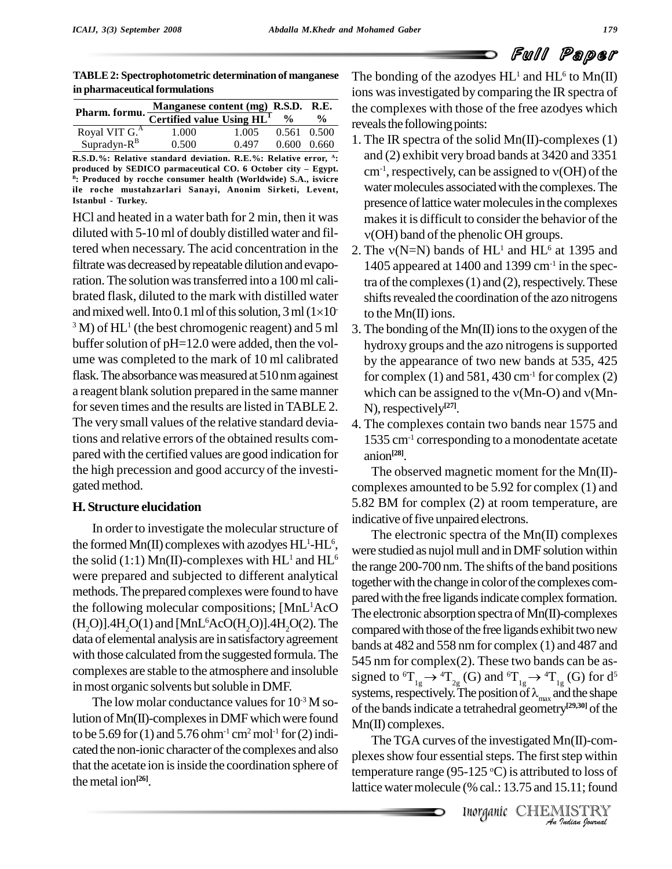**TABLE2: Spectrophotometric determination of manganese in pharmaceutical formulations**

|                                        | Manganese content (mg) R.S.D. R.E. |       |               |                 |
|----------------------------------------|------------------------------------|-------|---------------|-----------------|
| Pharm. formu. Certified value Using HL |                                    |       | $\frac{0}{0}$ | $\frac{0}{0}$   |
| Royal VIT G. <sup>A</sup>              | 1.000                              | 1.005 |               | $0.561$ $0.500$ |
| $Supradyn-R^B$                         | 0.500                              | 0.497 | 0.600         | 0.660           |

**R.S.D.%: Relative standard deviation. R.E.%: Relative error, <sup>A</sup> : produced by SEDICO parmaceutical CO. <sup>6</sup> October city <sup>ñ</sup> Egypt. B : Produced by rocche consumer health (Worldwide) S.A., isvicre ile roche mustahzarlari Sanayi, Anonim Sirketi, Levent, Istanbul - Turkey.**

HCl and heated in a water bath for 2 min, then it was diluted with 5-10 ml of doubly distilled water and filtered when necessary. The acid concentration in the filtrate was decreased by repeatable dilution and evaporation. The solution was transferred into a 100 ml calibrated flask, diluted to the mark with distilled water ration. The solution was transferred into a 100 ml cali-<br>brated flask, diluted to the mark with distilled water<br>and mixed well. Into 0.1 ml of this solution, 3 ml  $(1\times10^{-10})$  to the and mixed well. Into 0.1 ml of this solution,  $3 \text{ ml } (1 \times 10^{-7})$  $3^3$  M) of HL<sup>1</sup> (the best chromogenic reagent) and 5 ml  $-3$ . T buffer solution of  $pH=12.0$  were added, then the volume was completed to the mark of 10 ml calibrated flask. The absorbance was measured at 510 nm againest a reagent blank solution prepared in the same manner which can be assigned to the v(Mn-O) and v(Mnfor seven times and the results are listed in TABLE 2. The very small values of the relative standard deviations and relative errors of the obtained results com pared with the certified values are good indication for the high precession and good accurcy of the investi gated method.

#### **H. Structure elucidation**

In order to investigate the molecular structure of the formed Mn(II) complexes with azodyes  $HL^1-HL^6$ , were studied the solid (1:1) Mn(II)-complexes with  $HL^1$  and  $HL^6$ were prepared and subjected to different analytical methods.The prepared complexes were found to have the following molecular compositions; [MnL  $(H<sub>2</sub>O)$ ].4H<sub>2</sub>O(1) and [MnL<sup>6</sup>AcO(H<sub>2</sub>O)].4H<sub>2</sub>O(2). The comparison data of elemental analysis are in satisfactoryagreement with those calculated fromthe suggested formula.The complexes are stable to the atmosphere and insoluble in most organic solvents but soluble in DMF.

The low molar conductance values for  $10^{-3}$  M so-<br>of the band lution of Mn(II)-complexes in DMF which were found to be 5.69 for (1) and 5.76 ohm<sup>-1</sup> cm<sup>2</sup> mol<sup>-1</sup> for (2) indicated the non-ionic character of the complexes and also that the acetate ion is inside the coordination sphere of themetal ion **[26]**.

The bonding of the azodyes  $HL^1$  and  $HL^6$  to  $Mn(II)$ ions wasinvestigated by comparing the IR spectra of **R.S.D. R.E.** the complexes with those of the free azodyes which  $\frac{1}{\gamma_0}$   $\frac{\%}{\%}$  **expands** the following points:  $\frac{\%}{\epsilon_0}$  reveals the following points:

- 1. The IR spectra of the solid Mn(II)-complexes (1) and (2) exhibit very broad bands at 3420 and 3351 cm<sup>-1</sup>, respectively, can be assigned to  $v(OH)$  of the and (2) exhibit very broad bands at 3420 and 3351  $cm^{-1}$ , respectively, can be assigned to  $v(OH)$  of the water molecules associated with the complexes. The presence of lattice water molecules in the complexes makes it is difficult to consider the behavior of the (OH) band of the phenolic OH groups. makes it is difficult to consider the beh<br> $v(OH)$  band of the phenolic OH groups<br>2. The  $v(N=N)$  bands of  $HL<sup>1</sup>$  and  $HL<sup>6</sup>$  a
- $<sup>1</sup>$  and HL<sup>6</sup> at 1395 and</sup> 1405 appeared at 1400 and 1399 cm-1 in the spectra of the complexes  $(1)$  and  $(2)$ , respectively. These shifts revealed the coordination of the azo nitrogens to the Mn(II) ions.
- 3. The bonding of the  $Mn(\Pi)$  ions to the oxygen of the hydroxy groups and the azo nitrogens is supported by the appearance of two new bands at 535, 425 for complex  $(1)$  and 581, 430 cm<sup>-1</sup> for complex  $(2)$ by the appearance of two new bands at 535, 425<br>for complex (1) and 581, 430 cm<sup>-1</sup> for complex (2)<br>which can be assigned to the  $v(Mn-O)$  and  $v(Mn-$ N), respectively **[27]**.
- 4. The complexes contain two bands near 1575 and 1535 cm-1 corresponding to a monodentate acetate anion **[28]**.

The observed magnetic moment for the Mn(II) complexes amounted to be 5.92 for complex (1) and 5.82 BM for complex (2) at room temperature, are indicative of five unpaired electrons.

were studied as nujol mull and in DMF solution within  $^{1}$ AcO The electronic absorption spectra of Mn(II)-complexes The electronic spectra of the Mn(II) complexes the range 200-700 nm. The shifts of the band positions together with the change in color of the complexes compared with the free ligands indicate complex formation. compared with those of the free ligands exhibit two new bands at 482 and 558 nm for complex (1) and 487 and 545 nm for complex(2). These two bands can be as signed to  ${}^6T_{1g} \rightarrow {}^4T_{2g}$  (G) and  ${}^6T_{1g} \rightarrow {}^4T_{1g}$  (G) for  $d^5$ 545 nm for complex(2). These two bands can be as-<br>signed to  ${}^6T_{1g} \rightarrow {}^4T_{2g}$  (G) and  ${}^6T_{1g} \rightarrow {}^4T_{1g}$  (G) for d<sup>5</sup><br>systems, respectively. The position of  $\lambda_{max}$  and the shape of the bands indicate a tetrahedral geometry<sup>[29,30]</sup> of the Mn(II) complexes.

*In*(II)-com-<br>step within<br>ed to loss of<br>5.11; found<br>**IISTRY** The TGA curves of the investigated Mn(II)-com plexes show four essential steps. The first step within temperature range (95-125 <sup>o</sup>C) is attributed to loss of lattice water molecule (% cal.: 13.75 and 15.11; found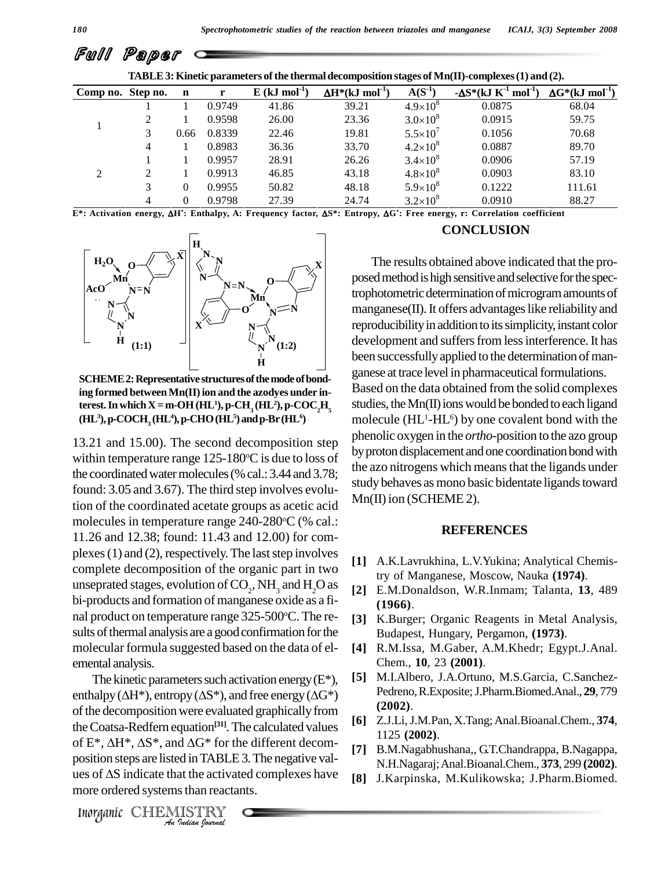|                   | `u       |             |        |                             |                                   |                     |                                                                                                  |                                    |
|-------------------|----------|-------------|--------|-----------------------------|-----------------------------------|---------------------|--------------------------------------------------------------------------------------------------|------------------------------------|
|                   |          |             |        |                             |                                   |                     | TABLE 3: Kinetic parameters of the thermal decomposition stages of Mn(II)-complexes (1) and (2). |                                    |
| Comp no. Step no. |          | $\mathbf n$ | r      | $E$ (kJ mol <sup>-1</sup> ) | $\Delta H^*(kJ \text{ mol}^{-1})$ | $A(S^1)$            | $-\Delta S^*$ (kJ K <sup>-1</sup> mol <sup>-1</sup> )                                            | $\Delta G^* (kJ \text{ mol}^{-1})$ |
|                   |          |             | 0.9749 | 41.86                       | 39.21                             | $4.9\times10^{8}$   | 0.0875                                                                                           | 68.04                              |
|                   |          |             | 0.9598 | 26.00                       | 23.36                             | $3.0\times10^{8}$   | 0.0915                                                                                           | 59.75                              |
|                   | 3        | 0.66        | 0.8339 | 22.46                       | 19.81                             | $5.5 \times 10^{7}$ | 0.1056                                                                                           | 70.68                              |
|                   | 4        |             | 0.8983 | 36.36                       | 33.70                             | $4.2 \times 10^8$   | 0.0887                                                                                           | 89.70                              |
| ↑                 |          |             | 0.9957 | 28.91                       | 26.26                             | $3.4 \times 10^8$   | 0.0906                                                                                           | 57.19                              |
|                   | $\gamma$ |             | 0.9913 | 46.85                       | 43.18                             | $4.8 \times 10^{8}$ | 0.0903                                                                                           | 83.10                              |
|                   | 3        | $\Omega$    | 0.9955 | 50.82                       | 48.18                             | $5.9 \times 10^8$   | 0.1222                                                                                           | 111.61                             |
|                   | 4        | $\Omega$    | 0.9798 | 27.39                       | 24.74                             | $3.2\times10^8$     | 0.0910                                                                                           | 88.27                              |

E\*: Activation energy, ΔH\*: Enthalpy, A: Frequency factor, ΔS\*: Entropy, ΔG\*: Free energy, r: Correlation coefficient



SCHEME 2: Representative structures of the mode of bonding formed between  $\text{Mn}(\textbf{II})$  ion and the azodyes under in**terest.** In which X = m-OH (HL<sup>1</sup>), p-CH<sub>3</sub> (HL<sup>2</sup>), p-COC<sub>2</sub>H<sub>5</sub><br>(HL<sup>3</sup>), p-COCH<sub>3</sub> (HL<sup>4</sup>), p-CHO (HL<sup>5</sup>) and p-Br (HL<sup>6</sup>) **<sup>3</sup>),p-COCH<sup>3</sup> (HL <sup>4</sup>),p-CHO(HL <sup>5</sup>)andp-Br(HL 6)**

13.21 and 15.00). The second decomposition step within temperature range 125-180 °C is due to loss of  $^{9}$  F the coordinated water molecules (% cal.: 3.44 and 3.78; found: 3.05 and 3.67). The third step involves evolution of the coordinated acetate groups as acetic acid molecules in temperature range 240-280°C (% cal.: 11.26 and 12.38; found: 11.43 and 12.00) for com plexes  $(1)$  and  $(2)$ , respectively. The last step involves complete decomposition of the organic part in two unseprated stages, evolution of  $CO_2$ , NH<sub>3</sub> and H<sub>2</sub>O as [2] E.M bi-products and formation of manganese oxide as a final product on temperature range  $325-500$ °C. The results of thermal analysis are a good confirmation for the molecular formula suggested based on the data of el emental analysis.

the Coatsa-Redfern equation<sup>[31]</sup>. The calculated values  $\begin{bmatrix} 0 \\ 1 \end{bmatrix}$ *Indian Journal Indian*<br> *Incention Indian*<br> *Indian IABLE* 3. The negatives of ΔS indicate that the activated complexes<br>
more ordered systems than reactants.<br> *Inorganic* CHEMISTRY The kinetic parameters such activation energy  $(E^*),$ enthalpy ( $\Delta H^*$ ), entropy ( $\Delta S^*$ ), and free energy ( $\Delta G^*$ ) of the decomposition were evaluated graphically from of the decomposition were evaluated graphically from<br>the Coatsa-Redfern equation<sup>[31]</sup>. The calculated values<br>of E\*,  $\Delta H^*$ ,  $\Delta S^*$ , and  $\Delta G^*$  for the different decomposition steps are listed inTABLE3.The negative val of  $E^*$ ,  $\Delta H^*$ ,  $\Delta S^*$ , and  $\Delta G^*$  for the different decomposition steps are listed in TABLE 3. The negative values of  $\Delta S$  indicate that the activated complexes have more ordered systems than reactants.

#### **CONCLUSION**

The results obtained above indicated that the proposed method is high sensitive and selective for the spectrophotometric determination of microgram amounts of manganese(II). It offers advantages like reliability and reproducibility in addition to its simplicity, instant color development and suffers from less interference. It has been successfully applied to the determination of manganese at trace level in pharmaceutical formulations. Based on the data obtained from the solid complexes studies, the  $Mn(\Pi)$  ions would be bonded to each ligand molecule (HL <sup>1</sup>-HL <sup>6</sup>) by one covalent bond with the phenolic oxygen in the *ortho*-position to the azo group by proton displacement and one coordination bond with the azo nitrogens which means that the ligands under study behaves as mono basic bidentate ligands toward  $Mn(II)$  ion (SCHEME 2).  $\mathbf{X}$   $\vert$ 

#### **REFERENCES**

- **[1]** A.K.Lavrukhina, L.V.Yukina; Analytical Chemistry of Manganese, Moscow, Nauka **(1974)**.
- **[2]** E.M.Donaldson, W.R.Inmam; Talanta, **13**, 489 **(1966)**.
- **[3]** K.Burger; Organic Reagents in Metal Analysis, Budapest, Hungary, Pergamon, **(1973)**.
- **[4]** R.M.Issa, M.Gaber, A.M.Khedr; Egypt.J.Anal. Chem., **10**, 23 **(2001)**.
- **[5]** M.I.Albero, J.A.Ortuno, M.S.Garcia, C.Sanchez- Pedreno,R.Exposite;J.Pharm.Biomed.Anal., **29**, 779 **(2002)**.
- **[6]** Z.J.Li,J.M.Pan, X.Tang;Anal.Bioanal.Chem., **374**, 1125 **(2002)**.
- [7] B.M.Nagabhushana,, G.T.Chandrappa, B.Nagappa, N.H.Nagaraj;Anal.Bioanal.Chem., **373**, 299 **(2002)**.
- **[8]** J.Karpinska, M.Kulikowska; J.Pharm.Biomed.

Full Paper